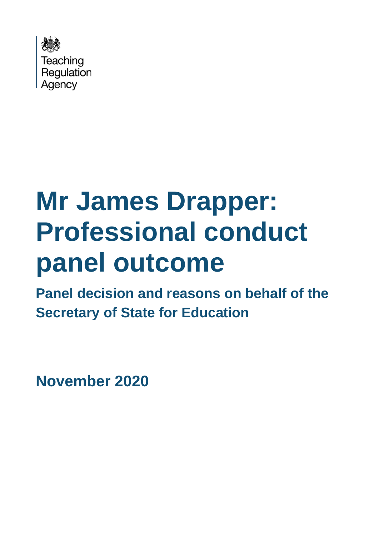

# **Mr James Drapper: Professional conduct panel outcome**

**Panel decision and reasons on behalf of the Secretary of State for Education**

**November 2020**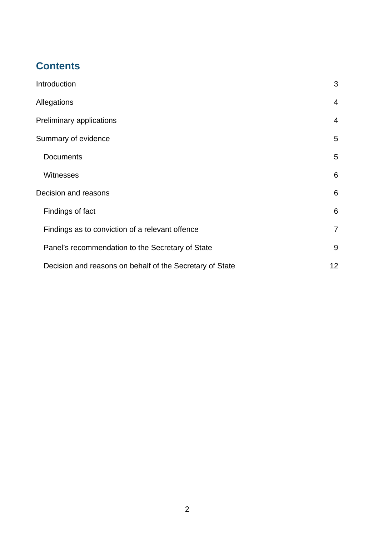## **Contents**

| Introduction                                             | 3               |
|----------------------------------------------------------|-----------------|
| Allegations                                              | $\overline{4}$  |
| Preliminary applications                                 | $\overline{4}$  |
| Summary of evidence                                      | 5               |
| <b>Documents</b>                                         | 5               |
| <b>Witnesses</b>                                         | $6\phantom{1}6$ |
| Decision and reasons                                     | $6\phantom{1}6$ |
| Findings of fact                                         | 6               |
| Findings as to conviction of a relevant offence          | $\overline{7}$  |
| Panel's recommendation to the Secretary of State         | 9               |
| Decision and reasons on behalf of the Secretary of State | 12              |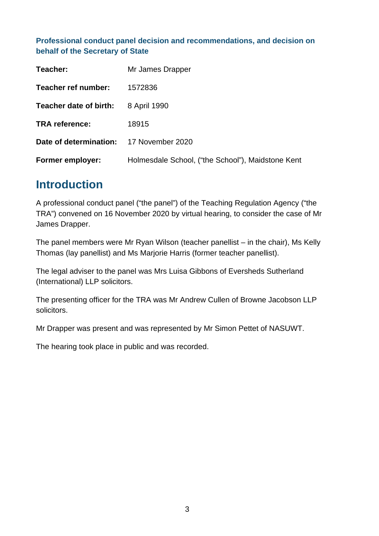#### **Professional conduct panel decision and recommendations, and decision on behalf of the Secretary of State**

| Teacher:                                | Mr James Drapper                                  |
|-----------------------------------------|---------------------------------------------------|
| Teacher ref number:                     | 1572836                                           |
| Teacher date of birth:                  | 8 April 1990                                      |
| <b>TRA reference:</b>                   | 18915                                             |
| Date of determination: 17 November 2020 |                                                   |
| <b>Former employer:</b>                 | Holmesdale School, ("the School"), Maidstone Kent |

## <span id="page-2-0"></span>**Introduction**

A professional conduct panel ("the panel") of the Teaching Regulation Agency ("the TRA") convened on 16 November 2020 by virtual hearing, to consider the case of Mr James Drapper.

The panel members were Mr Ryan Wilson (teacher panellist – in the chair), Ms Kelly Thomas (lay panellist) and Ms Marjorie Harris (former teacher panellist).

The legal adviser to the panel was Mrs Luisa Gibbons of Eversheds Sutherland (International) LLP solicitors.

The presenting officer for the TRA was Mr Andrew Cullen of Browne Jacobson LLP solicitors.

Mr Drapper was present and was represented by Mr Simon Pettet of NASUWT.

The hearing took place in public and was recorded.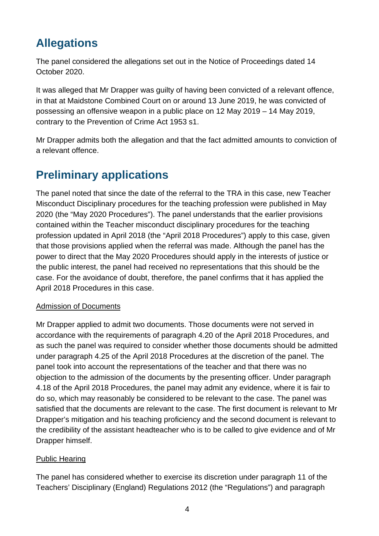# <span id="page-3-0"></span>**Allegations**

The panel considered the allegations set out in the Notice of Proceedings dated 14 October 2020.

It was alleged that Mr Drapper was guilty of having been convicted of a relevant offence, in that at Maidstone Combined Court on or around 13 June 2019, he was convicted of possessing an offensive weapon in a public place on 12 May 2019 – 14 May 2019, contrary to the Prevention of Crime Act 1953 s1.

Mr Drapper admits both the allegation and that the fact admitted amounts to conviction of a relevant offence.

# <span id="page-3-1"></span>**Preliminary applications**

The panel noted that since the date of the referral to the TRA in this case, new Teacher Misconduct Disciplinary procedures for the teaching profession were published in May 2020 (the "May 2020 Procedures"). The panel understands that the earlier provisions contained within the Teacher misconduct disciplinary procedures for the teaching profession updated in April 2018 (the "April 2018 Procedures") apply to this case, given that those provisions applied when the referral was made. Although the panel has the power to direct that the May 2020 Procedures should apply in the interests of justice or the public interest, the panel had received no representations that this should be the case. For the avoidance of doubt, therefore, the panel confirms that it has applied the April 2018 Procedures in this case.

#### Admission of Documents

Mr Drapper applied to admit two documents. Those documents were not served in accordance with the requirements of paragraph 4.20 of the April 2018 Procedures, and as such the panel was required to consider whether those documents should be admitted under paragraph 4.25 of the April 2018 Procedures at the discretion of the panel. The panel took into account the representations of the teacher and that there was no objection to the admission of the documents by the presenting officer. Under paragraph 4.18 of the April 2018 Procedures, the panel may admit any evidence, where it is fair to do so, which may reasonably be considered to be relevant to the case. The panel was satisfied that the documents are relevant to the case. The first document is relevant to Mr Drapper's mitigation and his teaching proficiency and the second document is relevant to the credibility of the assistant headteacher who is to be called to give evidence and of Mr Drapper himself.

#### Public Hearing

The panel has considered whether to exercise its discretion under paragraph 11 of the Teachers' Disciplinary (England) Regulations 2012 (the "Regulations") and paragraph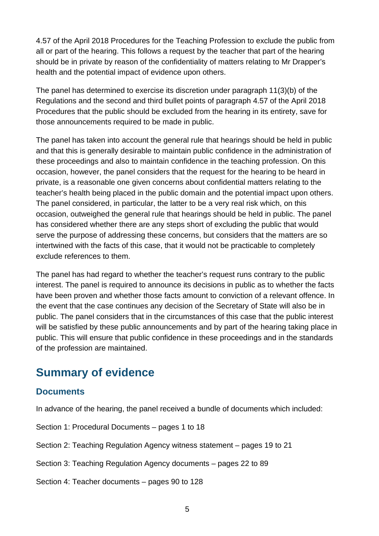4.57 of the April 2018 Procedures for the Teaching Profession to exclude the public from all or part of the hearing. This follows a request by the teacher that part of the hearing should be in private by reason of the confidentiality of matters relating to Mr Drapper's health and the potential impact of evidence upon others.

The panel has determined to exercise its discretion under paragraph 11(3)(b) of the Regulations and the second and third bullet points of paragraph 4.57 of the April 2018 Procedures that the public should be excluded from the hearing in its entirety, save for those announcements required to be made in public.

The panel has taken into account the general rule that hearings should be held in public and that this is generally desirable to maintain public confidence in the administration of these proceedings and also to maintain confidence in the teaching profession. On this occasion, however, the panel considers that the request for the hearing to be heard in private, is a reasonable one given concerns about confidential matters relating to the teacher's health being placed in the public domain and the potential impact upon others. The panel considered, in particular, the latter to be a very real risk which, on this occasion, outweighed the general rule that hearings should be held in public. The panel has considered whether there are any steps short of excluding the public that would serve the purpose of addressing these concerns, but considers that the matters are so intertwined with the facts of this case, that it would not be practicable to completely exclude references to them.

The panel has had regard to whether the teacher's request runs contrary to the public interest. The panel is required to announce its decisions in public as to whether the facts have been proven and whether those facts amount to conviction of a relevant offence. In the event that the case continues any decision of the Secretary of State will also be in public. The panel considers that in the circumstances of this case that the public interest will be satisfied by these public announcements and by part of the hearing taking place in public. This will ensure that public confidence in these proceedings and in the standards of the profession are maintained.

# <span id="page-4-0"></span>**Summary of evidence**

### <span id="page-4-1"></span>**Documents**

In advance of the hearing, the panel received a bundle of documents which included:

Section 1: Procedural Documents – pages 1 to 18

Section 2: Teaching Regulation Agency witness statement – pages 19 to 21

Section 3: Teaching Regulation Agency documents – pages 22 to 89

Section 4: Teacher documents – pages 90 to 128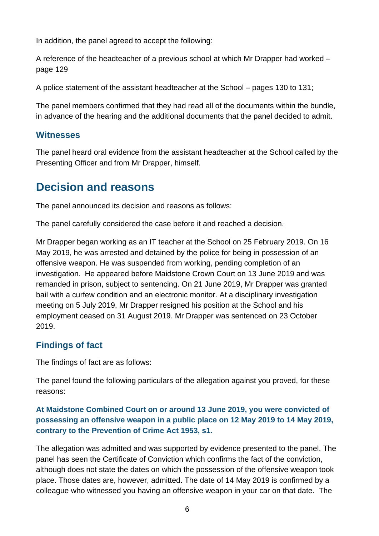In addition, the panel agreed to accept the following:

A reference of the headteacher of a previous school at which Mr Drapper had worked – page 129

A police statement of the assistant headteacher at the School – pages 130 to 131;

The panel members confirmed that they had read all of the documents within the bundle, in advance of the hearing and the additional documents that the panel decided to admit.

#### <span id="page-5-0"></span>**Witnesses**

The panel heard oral evidence from the assistant headteacher at the School called by the Presenting Officer and from Mr Drapper, himself.

# <span id="page-5-1"></span>**Decision and reasons**

The panel announced its decision and reasons as follows:

The panel carefully considered the case before it and reached a decision.

Mr Drapper began working as an IT teacher at the School on 25 February 2019. On 16 May 2019, he was arrested and detained by the police for being in possession of an offensive weapon. He was suspended from working, pending completion of an investigation. He appeared before Maidstone Crown Court on 13 June 2019 and was remanded in prison, subject to sentencing. On 21 June 2019, Mr Drapper was granted bail with a curfew condition and an electronic monitor. At a disciplinary investigation meeting on 5 July 2019, Mr Drapper resigned his position at the School and his employment ceased on 31 August 2019. Mr Drapper was sentenced on 23 October 2019.

## <span id="page-5-2"></span>**Findings of fact**

The findings of fact are as follows:

The panel found the following particulars of the allegation against you proved, for these reasons:

#### **At Maidstone Combined Court on or around 13 June 2019, you were convicted of possessing an offensive weapon in a public place on 12 May 2019 to 14 May 2019, contrary to the Prevention of Crime Act 1953, s1.**

The allegation was admitted and was supported by evidence presented to the panel. The panel has seen the Certificate of Conviction which confirms the fact of the conviction, although does not state the dates on which the possession of the offensive weapon took place. Those dates are, however, admitted. The date of 14 May 2019 is confirmed by a colleague who witnessed you having an offensive weapon in your car on that date. The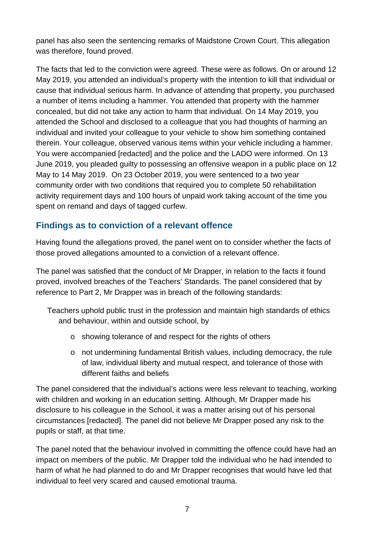panel has also seen the sentencing remarks of Maidstone Crown Court. This allegation was therefore, found proved.

The facts that led to the conviction were agreed. These were as follows. On or around 12 May 2019, you attended an individual's property with the intention to kill that individual or cause that individual serious harm. In advance of attending that property, you purchased a number of items including a hammer. You attended that property with the hammer concealed, but did not take any action to harm that individual. On 14 May 2019, you attended the School and disclosed to a colleague that you had thoughts of harming an individual and invited your colleague to your vehicle to show him something contained therein. Your colleague, observed various items within your vehicle including a hammer. You were accompanied [redacted] and the police and the LADO were informed. On 13 June 2019, you pleaded guilty to possessing an offensive weapon in a public place on 12 May to 14 May 2019. On 23 October 2019, you were sentenced to a two year community order with two conditions that required you to complete 50 rehabilitation activity requirement days and 100 hours of unpaid work taking account of the time you spent on remand and days of tagged curfew.

## <span id="page-6-0"></span>**Findings as to conviction of a relevant offence**

Having found the allegations proved, the panel went on to consider whether the facts of those proved allegations amounted to a conviction of a relevant offence.

The panel was satisfied that the conduct of Mr Drapper, in relation to the facts it found proved, involved breaches of the Teachers' Standards. The panel considered that by reference to Part 2, Mr Drapper was in breach of the following standards:

- Teachers uphold public trust in the profession and maintain high standards of ethics and behaviour, within and outside school, by
	- o showing tolerance of and respect for the rights of others
	- o not undermining fundamental British values, including democracy, the rule of law, individual liberty and mutual respect, and tolerance of those with different faiths and beliefs

The panel considered that the individual's actions were less relevant to teaching, working with children and working in an education setting. Although, Mr Drapper made his disclosure to his colleague in the School, it was a matter arising out of his personal circumstances [redacted]. The panel did not believe Mr Drapper posed any risk to the pupils or staff, at that time.

The panel noted that the behaviour involved in committing the offence could have had an impact on members of the public. Mr Drapper told the individual who he had intended to harm of what he had planned to do and Mr Drapper recognises that would have led that individual to feel very scared and caused emotional trauma.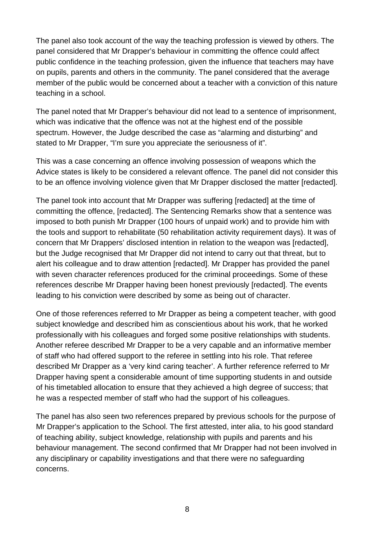The panel also took account of the way the teaching profession is viewed by others. The panel considered that Mr Drapper's behaviour in committing the offence could affect public confidence in the teaching profession, given the influence that teachers may have on pupils, parents and others in the community. The panel considered that the average member of the public would be concerned about a teacher with a conviction of this nature teaching in a school.

The panel noted that Mr Drapper's behaviour did not lead to a sentence of imprisonment, which was indicative that the offence was not at the highest end of the possible spectrum. However, the Judge described the case as "alarming and disturbing" and stated to Mr Drapper, "I'm sure you appreciate the seriousness of it".

This was a case concerning an offence involving possession of weapons which the Advice states is likely to be considered a relevant offence. The panel did not consider this to be an offence involving violence given that Mr Drapper disclosed the matter [redacted].

The panel took into account that Mr Drapper was suffering [redacted] at the time of committing the offence, [redacted]. The Sentencing Remarks show that a sentence was imposed to both punish Mr Drapper (100 hours of unpaid work) and to provide him with the tools and support to rehabilitate (50 rehabilitation activity requirement days). It was of concern that Mr Drappers' disclosed intention in relation to the weapon was [redacted], but the Judge recognised that Mr Drapper did not intend to carry out that threat, but to alert his colleague and to draw attention [redacted]. Mr Drapper has provided the panel with seven character references produced for the criminal proceedings. Some of these references describe Mr Drapper having been honest previously [redacted]. The events leading to his conviction were described by some as being out of character.

One of those references referred to Mr Drapper as being a competent teacher, with good subject knowledge and described him as conscientious about his work, that he worked professionally with his colleagues and forged some positive relationships with students. Another referee described Mr Drapper to be a very capable and an informative member of staff who had offered support to the referee in settling into his role. That referee described Mr Drapper as a 'very kind caring teacher'. A further reference referred to Mr Drapper having spent a considerable amount of time supporting students in and outside of his timetabled allocation to ensure that they achieved a high degree of success; that he was a respected member of staff who had the support of his colleagues.

The panel has also seen two references prepared by previous schools for the purpose of Mr Drapper's application to the School. The first attested, inter alia, to his good standard of teaching ability, subject knowledge, relationship with pupils and parents and his behaviour management. The second confirmed that Mr Drapper had not been involved in any disciplinary or capability investigations and that there were no safeguarding concerns.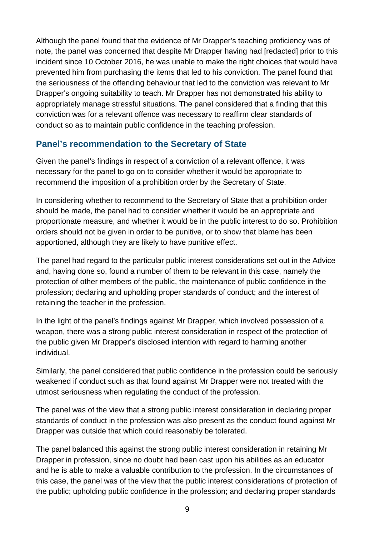Although the panel found that the evidence of Mr Drapper's teaching proficiency was of note, the panel was concerned that despite Mr Drapper having had [redacted] prior to this incident since 10 October 2016, he was unable to make the right choices that would have prevented him from purchasing the items that led to his conviction. The panel found that the seriousness of the offending behaviour that led to the conviction was relevant to Mr Drapper's ongoing suitability to teach. Mr Drapper has not demonstrated his ability to appropriately manage stressful situations. The panel considered that a finding that this conviction was for a relevant offence was necessary to reaffirm clear standards of conduct so as to maintain public confidence in the teaching profession.

#### <span id="page-8-0"></span>**Panel's recommendation to the Secretary of State**

Given the panel's findings in respect of a conviction of a relevant offence, it was necessary for the panel to go on to consider whether it would be appropriate to recommend the imposition of a prohibition order by the Secretary of State.

In considering whether to recommend to the Secretary of State that a prohibition order should be made, the panel had to consider whether it would be an appropriate and proportionate measure, and whether it would be in the public interest to do so. Prohibition orders should not be given in order to be punitive, or to show that blame has been apportioned, although they are likely to have punitive effect.

The panel had regard to the particular public interest considerations set out in the Advice and, having done so, found a number of them to be relevant in this case, namely the protection of other members of the public, the maintenance of public confidence in the profession; declaring and upholding proper standards of conduct; and the interest of retaining the teacher in the profession.

In the light of the panel's findings against Mr Drapper, which involved possession of a weapon, there was a strong public interest consideration in respect of the protection of the public given Mr Drapper's disclosed intention with regard to harming another individual.

Similarly, the panel considered that public confidence in the profession could be seriously weakened if conduct such as that found against Mr Drapper were not treated with the utmost seriousness when regulating the conduct of the profession.

The panel was of the view that a strong public interest consideration in declaring proper standards of conduct in the profession was also present as the conduct found against Mr Drapper was outside that which could reasonably be tolerated.

The panel balanced this against the strong public interest consideration in retaining Mr Drapper in profession, since no doubt had been cast upon his abilities as an educator and he is able to make a valuable contribution to the profession. In the circumstances of this case, the panel was of the view that the public interest considerations of protection of the public; upholding public confidence in the profession; and declaring proper standards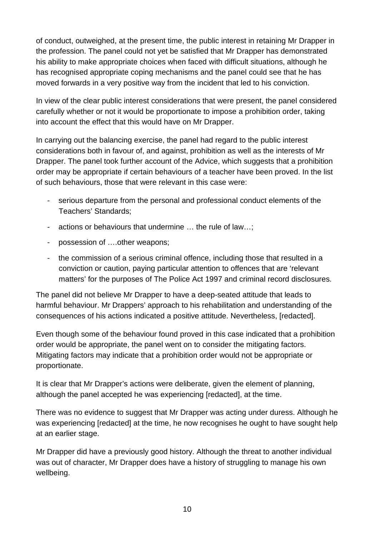of conduct, outweighed, at the present time, the public interest in retaining Mr Drapper in the profession. The panel could not yet be satisfied that Mr Drapper has demonstrated his ability to make appropriate choices when faced with difficult situations, although he has recognised appropriate coping mechanisms and the panel could see that he has moved forwards in a very positive way from the incident that led to his conviction.

In view of the clear public interest considerations that were present, the panel considered carefully whether or not it would be proportionate to impose a prohibition order, taking into account the effect that this would have on Mr Drapper.

In carrying out the balancing exercise, the panel had regard to the public interest considerations both in favour of, and against, prohibition as well as the interests of Mr Drapper. The panel took further account of the Advice, which suggests that a prohibition order may be appropriate if certain behaviours of a teacher have been proved. In the list of such behaviours, those that were relevant in this case were:

- serious departure from the personal and professional conduct elements of the Teachers' Standards;
- actions or behaviours that undermine … the rule of law…;
- possession of ….other weapons;
- the commission of a serious criminal offence, including those that resulted in a conviction or caution, paying particular attention to offences that are 'relevant matters' for the purposes of The Police Act 1997 and criminal record disclosures.

The panel did not believe Mr Drapper to have a deep-seated attitude that leads to harmful behaviour. Mr Drappers' approach to his rehabilitation and understanding of the consequences of his actions indicated a positive attitude. Nevertheless, [redacted].

Even though some of the behaviour found proved in this case indicated that a prohibition order would be appropriate, the panel went on to consider the mitigating factors. Mitigating factors may indicate that a prohibition order would not be appropriate or proportionate.

It is clear that Mr Drapper's actions were deliberate, given the element of planning, although the panel accepted he was experiencing [redacted], at the time.

There was no evidence to suggest that Mr Drapper was acting under duress. Although he was experiencing [redacted] at the time, he now recognises he ought to have sought help at an earlier stage.

Mr Drapper did have a previously good history. Although the threat to another individual was out of character, Mr Drapper does have a history of struggling to manage his own wellbeing.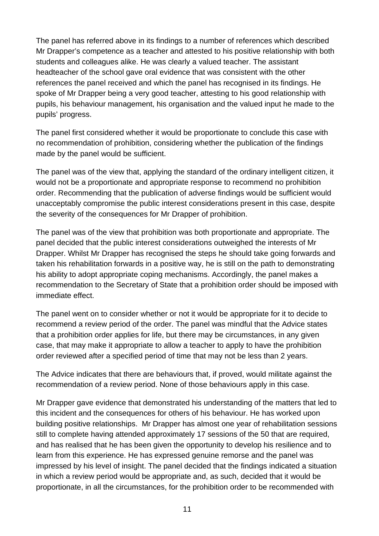The panel has referred above in its findings to a number of references which described Mr Drapper's competence as a teacher and attested to his positive relationship with both students and colleagues alike. He was clearly a valued teacher. The assistant headteacher of the school gave oral evidence that was consistent with the other references the panel received and which the panel has recognised in its findings. He spoke of Mr Drapper being a very good teacher, attesting to his good relationship with pupils, his behaviour management, his organisation and the valued input he made to the pupils' progress.

The panel first considered whether it would be proportionate to conclude this case with no recommendation of prohibition, considering whether the publication of the findings made by the panel would be sufficient.

The panel was of the view that, applying the standard of the ordinary intelligent citizen, it would not be a proportionate and appropriate response to recommend no prohibition order. Recommending that the publication of adverse findings would be sufficient would unacceptably compromise the public interest considerations present in this case, despite the severity of the consequences for Mr Drapper of prohibition.

The panel was of the view that prohibition was both proportionate and appropriate. The panel decided that the public interest considerations outweighed the interests of Mr Drapper. Whilst Mr Drapper has recognised the steps he should take going forwards and taken his rehabilitation forwards in a positive way, he is still on the path to demonstrating his ability to adopt appropriate coping mechanisms. Accordingly, the panel makes a recommendation to the Secretary of State that a prohibition order should be imposed with immediate effect.

The panel went on to consider whether or not it would be appropriate for it to decide to recommend a review period of the order. The panel was mindful that the Advice states that a prohibition order applies for life, but there may be circumstances, in any given case, that may make it appropriate to allow a teacher to apply to have the prohibition order reviewed after a specified period of time that may not be less than 2 years.

The Advice indicates that there are behaviours that, if proved, would militate against the recommendation of a review period. None of those behaviours apply in this case.

Mr Drapper gave evidence that demonstrated his understanding of the matters that led to this incident and the consequences for others of his behaviour. He has worked upon building positive relationships. Mr Drapper has almost one year of rehabilitation sessions still to complete having attended approximately 17 sessions of the 50 that are required, and has realised that he has been given the opportunity to develop his resilience and to learn from this experience. He has expressed genuine remorse and the panel was impressed by his level of insight. The panel decided that the findings indicated a situation in which a review period would be appropriate and, as such, decided that it would be proportionate, in all the circumstances, for the prohibition order to be recommended with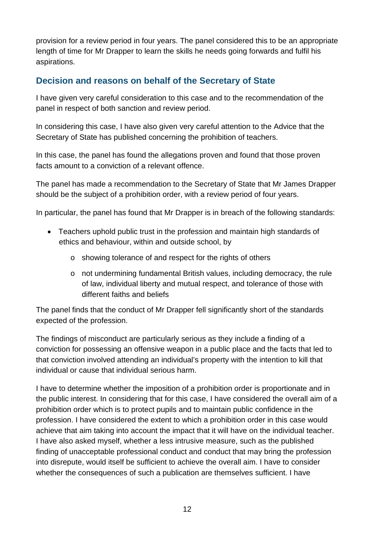provision for a review period in four years. The panel considered this to be an appropriate length of time for Mr Drapper to learn the skills he needs going forwards and fulfil his aspirations.

## <span id="page-11-0"></span>**Decision and reasons on behalf of the Secretary of State**

I have given very careful consideration to this case and to the recommendation of the panel in respect of both sanction and review period.

In considering this case, I have also given very careful attention to the Advice that the Secretary of State has published concerning the prohibition of teachers.

In this case, the panel has found the allegations proven and found that those proven facts amount to a conviction of a relevant offence.

The panel has made a recommendation to the Secretary of State that Mr James Drapper should be the subject of a prohibition order, with a review period of four years.

In particular, the panel has found that Mr Drapper is in breach of the following standards:

- Teachers uphold public trust in the profession and maintain high standards of ethics and behaviour, within and outside school, by
	- o showing tolerance of and respect for the rights of others
	- o not undermining fundamental British values, including democracy, the rule of law, individual liberty and mutual respect, and tolerance of those with different faiths and beliefs

The panel finds that the conduct of Mr Drapper fell significantly short of the standards expected of the profession.

The findings of misconduct are particularly serious as they include a finding of a conviction for possessing an offensive weapon in a public place and the facts that led to that conviction involved attending an individual's property with the intention to kill that individual or cause that individual serious harm.

I have to determine whether the imposition of a prohibition order is proportionate and in the public interest. In considering that for this case, I have considered the overall aim of a prohibition order which is to protect pupils and to maintain public confidence in the profession. I have considered the extent to which a prohibition order in this case would achieve that aim taking into account the impact that it will have on the individual teacher. I have also asked myself, whether a less intrusive measure, such as the published finding of unacceptable professional conduct and conduct that may bring the profession into disrepute, would itself be sufficient to achieve the overall aim. I have to consider whether the consequences of such a publication are themselves sufficient. I have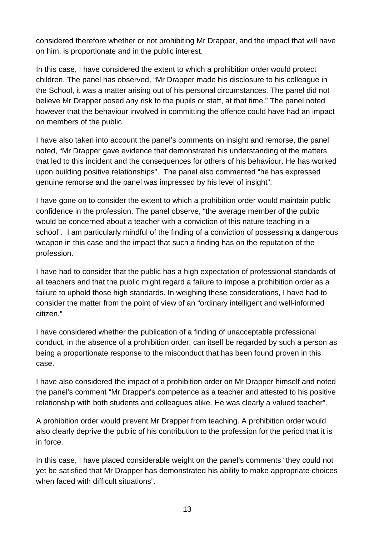considered therefore whether or not prohibiting Mr Drapper, and the impact that will have on him, is proportionate and in the public interest.

In this case, I have considered the extent to which a prohibition order would protect children. The panel has observed, "Mr Drapper made his disclosure to his colleague in the School, it was a matter arising out of his personal circumstances. The panel did not believe Mr Drapper posed any risk to the pupils or staff, at that time." The panel noted however that the behaviour involved in committing the offence could have had an impact on members of the public.

I have also taken into account the panel's comments on insight and remorse, the panel noted, "Mr Drapper gave evidence that demonstrated his understanding of the matters that led to this incident and the consequences for others of his behaviour. He has worked upon building positive relationships". The panel also commented "he has expressed genuine remorse and the panel was impressed by his level of insight".

I have gone on to consider the extent to which a prohibition order would maintain public confidence in the profession. The panel observe, "the average member of the public would be concerned about a teacher with a conviction of this nature teaching in a school". I am particularly mindful of the finding of a conviction of possessing a dangerous weapon in this case and the impact that such a finding has on the reputation of the profession.

I have had to consider that the public has a high expectation of professional standards of all teachers and that the public might regard a failure to impose a prohibition order as a failure to uphold those high standards. In weighing these considerations, I have had to consider the matter from the point of view of an "ordinary intelligent and well-informed citizen."

I have considered whether the publication of a finding of unacceptable professional conduct, in the absence of a prohibition order, can itself be regarded by such a person as being a proportionate response to the misconduct that has been found proven in this case.

I have also considered the impact of a prohibition order on Mr Drapper himself and noted the panel's comment "Mr Drapper's competence as a teacher and attested to his positive relationship with both students and colleagues alike. He was clearly a valued teacher".

A prohibition order would prevent Mr Drapper from teaching. A prohibition order would also clearly deprive the public of his contribution to the profession for the period that it is in force.

In this case, I have placed considerable weight on the panel's comments "they could not yet be satisfied that Mr Drapper has demonstrated his ability to make appropriate choices when faced with difficult situations".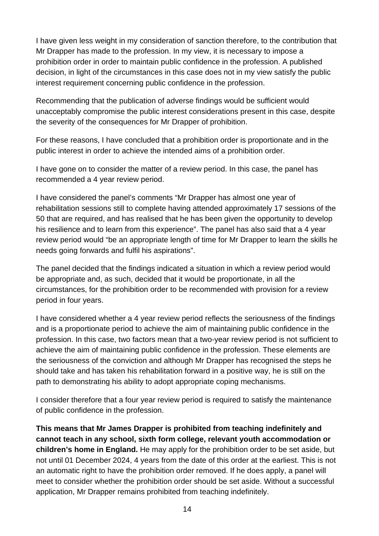I have given less weight in my consideration of sanction therefore, to the contribution that Mr Drapper has made to the profession. In my view, it is necessary to impose a prohibition order in order to maintain public confidence in the profession. A published decision, in light of the circumstances in this case does not in my view satisfy the public interest requirement concerning public confidence in the profession.

Recommending that the publication of adverse findings would be sufficient would unacceptably compromise the public interest considerations present in this case, despite the severity of the consequences for Mr Drapper of prohibition.

For these reasons, I have concluded that a prohibition order is proportionate and in the public interest in order to achieve the intended aims of a prohibition order.

I have gone on to consider the matter of a review period. In this case, the panel has recommended a 4 year review period.

I have considered the panel's comments "Mr Drapper has almost one year of rehabilitation sessions still to complete having attended approximately 17 sessions of the 50 that are required, and has realised that he has been given the opportunity to develop his resilience and to learn from this experience". The panel has also said that a 4 year review period would "be an appropriate length of time for Mr Drapper to learn the skills he needs going forwards and fulfil his aspirations".

The panel decided that the findings indicated a situation in which a review period would be appropriate and, as such, decided that it would be proportionate, in all the circumstances, for the prohibition order to be recommended with provision for a review period in four years.

I have considered whether a 4 year review period reflects the seriousness of the findings and is a proportionate period to achieve the aim of maintaining public confidence in the profession. In this case, two factors mean that a two-year review period is not sufficient to achieve the aim of maintaining public confidence in the profession. These elements are the seriousness of the conviction and although Mr Drapper has recognised the steps he should take and has taken his rehabilitation forward in a positive way, he is still on the path to demonstrating his ability to adopt appropriate coping mechanisms.

I consider therefore that a four year review period is required to satisfy the maintenance of public confidence in the profession.

**This means that Mr James Drapper is prohibited from teaching indefinitely and cannot teach in any school, sixth form college, relevant youth accommodation or children's home in England.** He may apply for the prohibition order to be set aside, but not until 01 December 2024, 4 years from the date of this order at the earliest. This is not an automatic right to have the prohibition order removed. If he does apply, a panel will meet to consider whether the prohibition order should be set aside. Without a successful application, Mr Drapper remains prohibited from teaching indefinitely.